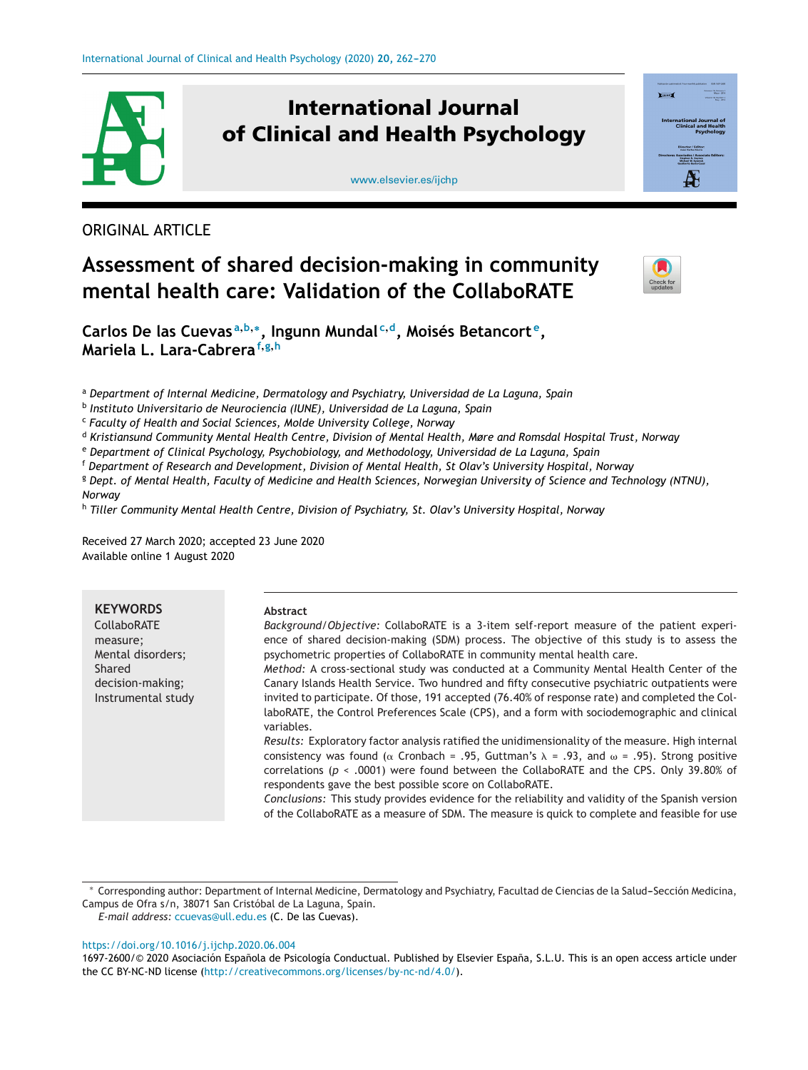

# **International Journal of Clinical and Health Psychology**

[www.elsevier.es/ijchp](http://www.elsevier.es/ijchp)



ORIGINAL ARTICLE

# **Assessment of shared decision-making in community mental health care: Validation of the CollaboRATE**



**Carlos De las Cuevas <sup>a</sup>,b,∗, Ingunn Mundal <sup>c</sup>,d, Moisés Betancort e, Mariela L. Lara-Cabrera<sup>f</sup>,g,<sup>h</sup>**

<sup>a</sup> *Department of Internal Medicine, Dermatology and Psychiatry, Universidad de La Laguna, Spain*

<sup>b</sup> *Instituto Universitario de Neurociencia (IUNE), Universidad de La Laguna, Spain*

<sup>c</sup> *Faculty of Health and Social Sciences, Molde University College, Norway*

<sup>d</sup> *Kristiansund Community Mental Health Centre, Division of Mental Health, Møre and Romsdal Hospital Trust, Norway*

<sup>e</sup> *Department of Clinical Psychology, Psychobiology, and Methodology, Universidad de La Laguna, Spain*

<sup>f</sup> *Department of Research and Development, Division of Mental Health, St Olav's University Hospital, Norway*

<sup>8</sup> Dept. of Mental Health, Faculty of Medicine and Health Sciences, Norwegian University of Science and Technology (NTNU), *Norway*

<sup>h</sup> *Tiller Community Mental Health Centre, Division of Psychiatry, St. Olav's University Hospital, Norway*

Received 27 March 2020; accepted 23 June 2020 Available online 1 August 2020

| <b>KEYWORDS</b>    | Abstract                                                                                                                                                   |
|--------------------|------------------------------------------------------------------------------------------------------------------------------------------------------------|
| <b>CollaboRATE</b> | Background/Objective: CollaboRATE is a 3-item self-report measure of the patient experi-                                                                   |
| measure;           | ence of shared decision-making (SDM) process. The objective of this study is to assess the                                                                 |
| Mental disorders;  | psychometric properties of CollaboRATE in community mental health care.                                                                                    |
| Shared             | Method: A cross-sectional study was conducted at a Community Mental Health Center of the                                                                   |
| decision-making;   | Canary Islands Health Service. Two hundred and fifty consecutive psychiatric outpatients were                                                              |
| Instrumental study | invited to participate. Of those, 191 accepted (76.40% of response rate) and completed the Col-                                                            |
|                    | laboRATE, the Control Preferences Scale (CPS), and a form with sociodemographic and clinical<br>variables.                                                 |
|                    | Results: Exploratory factor analysis ratified the unidimensionality of the measure. High internal                                                          |
|                    | consistency was found ( $\alpha$ Cronbach = .95, Guttman's $\lambda$ = .93, and $\omega$ = .95). Strong positive                                           |
|                    | correlations ( $p \le 0.0001$ ) were found between the CollaboRATE and the CPS. Only 39.80% of<br>respondents gave the best possible score on CollaboRATE. |
|                    | Conclusions: This study provides evidence for the reliability and validity of the Spanish version                                                          |
|                    |                                                                                                                                                            |
|                    | of the CollaboRATE as a measure of SDM. The measure is quick to complete and feasible for use                                                              |

*E-mail address:* [ccuevas@ull.edu.es](mailto:ccuevas@ull.edu.es) (C. De las Cuevas).

<https://doi.org/10.1016/j.ijchp.2020.06.004>

<sup>\*</sup> Corresponding author: Department of Internal Medicine, Dermatology and Psychiatry, Facultad de Ciencias de la Salud-Sección Medicina, Campus de Ofra s/n, 38071 San Cristóbal de La Laguna, Spain.

<sup>1697-2600/© 2020</sup> Asociación Española de Psicología Conductual. Published by Elsevier España, S.L.U. This is an open access article under the CC BY-NC-ND license [\(http://creativecommons.org/licenses/by-nc-nd/4.0/\)](http://creativecommons.org/licenses/by-nc-nd/4.0/).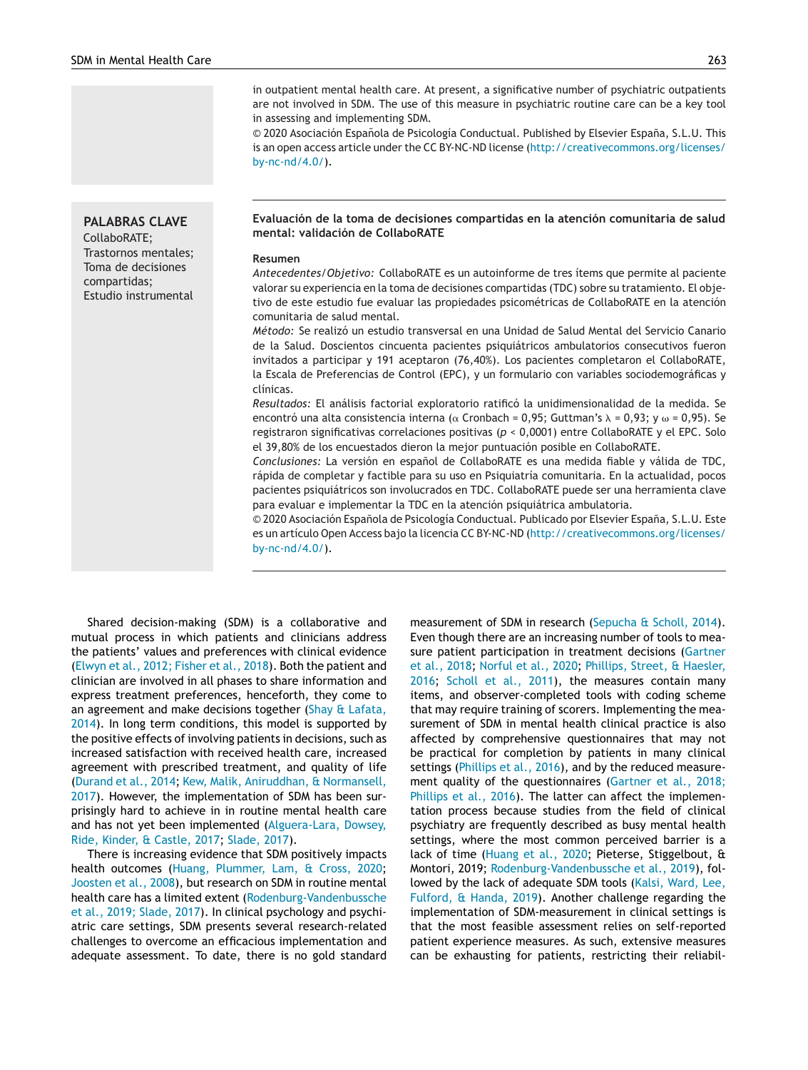# **PALABRAS CLAVE**

CollaboRATE; Trastornos mentales; Toma de decisiones compartidas; Estudio instrumental

in outpatient mental health care. At present, a significative number of psychiatric outpatients are not involved in SDM. The use of this measure in psychiatric routine care can be a key tool in assessing and implementing SDM.

© 2020 Asociación Española de Psicología Conductual. Published by Elsevier España, S.L.U. This is an open access article under the CC BY-NC-ND license [\(http://creativecommons.org/licenses/](http://creativecommons.org/licenses/by-nc-nd/4.0/) [by-nc-nd/4.0/](http://creativecommons.org/licenses/by-nc-nd/4.0/)).

**Evaluación de la toma de decisiones compartidas en la atención comunitaria de salud mental: validación de CollaboRATE**

#### **Resumen**

*Antecedentes/Objetivo:* CollaboRATE es un autoinforme de tres ítems que permite al paciente valorar su experiencia en la toma de decisiones compartidas (TDC) sobre su tratamiento. El objetivo de este estudio fue evaluar las propiedades psicométricas de CollaboRATE en la atención comunitaria de salud mental.

*Método:* Se realizó un estudio transversal en una Unidad de Salud Mental del Servicio Canario de la Salud. Doscientos cincuenta pacientes psiquiátricos ambulatorios consecutivos fueron invitados a participar y 191 aceptaron (76,40%). Los pacientes completaron el CollaboRATE, la Escala de Preferencias de Control (EPC), y un formulario con variables sociodemográficas y clínicas.

*Resultados:* El análisis factorial exploratorio ratificó la unidimensionalidad de la medida. Se encontró una alta consistencia interna ( $\alpha$  Cronbach = 0,95; Guttman's  $\lambda$  = 0,93; y  $\omega$  = 0,95). Se registraron significativas correlaciones positivas (*p* < 0,0001) entre CollaboRATE y el EPC. Solo el 39,80% de los encuestados dieron la mejor puntuación posible en CollaboRATE.

*Conclusiones:* La versión en español de CollaboRATE es una medida fiable y válida de TDC, rápida de completar y factible para su uso en Psiquiatría comunitaria. En la actualidad, pocos pacientes psiquiátricos son involucrados en TDC. CollaboRATE puede ser una herramienta clave para evaluar e implementar la TDC en la atención psiquiátrica ambulatoria.

© 2020 Asociación Española de Psicología Conductual. Publicado por Elsevier España, S.L.U. Este es un artículo Open Access bajo la licencia CC BY-NC-ND [\(http://creativecommons.org/licenses/](http://creativecommons.org/licenses/by-nc-nd/4.0/) [by-nc-nd/4.0/](http://creativecommons.org/licenses/by-nc-nd/4.0/)).

Shared decision-making (SDM) is a collaborative and mutual process in which patients and clinicians address the patients' values and preferences with clinical evidence ([Elwyn](#page-7-0) et [al.,](#page-7-0) [2012;](#page-7-0) [Fisher](#page-7-0) et [al.,](#page-7-0) [2018\).](#page-7-0) Both the patient and clinician are involved in all phases to share information and express treatment preferences, henceforth, they come to an agreement and make decisions together ([Shay](#page-8-0)  $\alpha$  [Lafata,](#page-8-0) [2014\).](#page-8-0) In long term conditions, this model is supported by the positive effects of involving patients in decisions, such as increased satisfaction with received health care, increased agreement with prescribed treatment, and quality of life ([Durand](#page-7-0) et [al.,](#page-7-0) [2014;](#page-7-0) [Kew,](#page-8-0) [Malik,](#page-8-0) [Aniruddhan,](#page-8-0) [&](#page-8-0) [Normansell,](#page-8-0) [2017\).](#page-8-0) However, the implementation of SDM has been surprisingly hard to achieve in in routine mental health care and has not yet been implemented ([Alguera-Lara,](#page-7-0) [Dowsey,](#page-7-0) [Ride,](#page-7-0) [Kinder,](#page-7-0) [&](#page-7-0) [Castle,](#page-7-0) [2017;](#page-7-0) [Slade,](#page-8-0) [2017\).](#page-8-0)

There is increasing evidence that SDM positively impacts health outcomes [\(Huang,](#page-7-0) [Plummer,](#page-7-0) [Lam,](#page-7-0) [&](#page-7-0) [Cross,](#page-7-0) [2020;](#page-7-0) [Joosten](#page-8-0) et [al.,](#page-8-0) [2008\),](#page-8-0) but research on SDM in routine mental health care has a limited extent ([Rodenburg-Vandenbussche](#page-8-0) et [al.,](#page-8-0) [2019;](#page-8-0) [Slade,](#page-8-0) [2017\).](#page-8-0) In clinical psychology and psychiatric care settings, SDM presents several research-related challenges to overcome an efficacious implementation and adequate assessment. To date, there is no gold standard measurement of SDM in research [\(Sepucha](#page-8-0) [&](#page-8-0) [Scholl,](#page-8-0) [2014\).](#page-8-0) Even though there are an increasing number of tools to measure patient participation in treatment decisions ([Gartner](#page-7-0) et [al.,](#page-7-0) [2018;](#page-7-0) [Norful](#page-8-0) et [al.,](#page-8-0) [2020;](#page-8-0) [Phillips,](#page-8-0) [Street,](#page-8-0) [&](#page-8-0) [Haesler,](#page-8-0) [2016;](#page-8-0) [Scholl](#page-8-0) et [al.,](#page-8-0) [2011\),](#page-8-0) the measures contain many items, and observer-completed tools with coding scheme that may require training of scorers. Implementing the measurement of SDM in mental health clinical practice is also affected by comprehensive questionnaires that may not be practical for completion by patients in many clinical settings [\(Phillips](#page-8-0) et [al.,](#page-8-0) [2016\),](#page-8-0) and by the reduced measurement quality of the questionnaires [\(Gartner](#page-7-0) et [al.,](#page-7-0) [2018;](#page-7-0) [Phillips](#page-7-0) et [al.,](#page-7-0) [2016\).](#page-7-0) The latter can affect the implementation process because studies from the field of clinical psychiatry are frequently described as busy mental health settings, where the most common perceived barrier is a lack of time ([Huang](#page-7-0) et [al.,](#page-7-0) [2020;](#page-7-0) Pieterse, Stiggelbout, & Montori, 2019; [Rodenburg-Vandenbussche](#page-8-0) et [al.,](#page-8-0) [2019\),](#page-8-0) followed by the lack of adequate SDM tools ([Kalsi,](#page-8-0) [Ward,](#page-8-0) [Lee,](#page-8-0) [Fulford,](#page-8-0) [&](#page-8-0) [Handa,](#page-8-0) [2019\).](#page-8-0) Another challenge regarding the implementation of SDM-measurement in clinical settings is that the most feasible assessment relies on self-reported patient experience measures. As such, extensive measures can be exhausting for patients, restricting their reliabil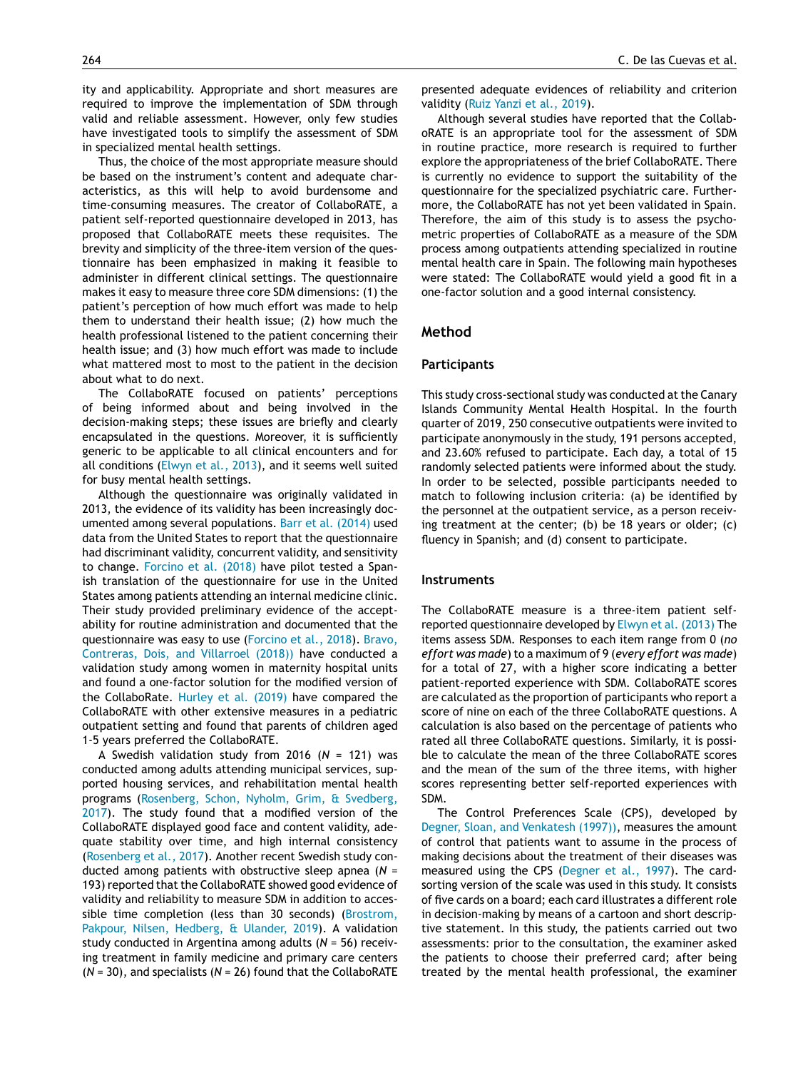ity and applicability. Appropriate and short measures are required to improve the implementation of SDM through valid and reliable assessment. However, only few studies have investigated tools to simplify the assessment of SDM in specialized mental health settings.

Thus, the choice of the most appropriate measure should be based on the instrument's content and adequate characteristics, as this will help to avoid burdensome and time-consuming measures. The creator of CollaboRATE, a patient self-reported questionnaire developed in 2013, has proposed that CollaboRATE meets these requisites. The brevity and simplicity of the three-item version of the questionnaire has been emphasized in making it feasible to administer in different clinical settings. The questionnaire makes it easy to measure three core SDM dimensions: (1) the patient's perception of how much effort was made to help them to understand their health issue; (2) how much the health professional listened to the patient concerning their health issue; and (3) how much effort was made to include what mattered most to most to the patient in the decision about what to do next.

The CollaboRATE focused on patients' perceptions of being informed about and being involved in the decision-making steps; these issues are briefly and clearly encapsulated in the questions. Moreover, it is sufficiently generic to be applicable to all clinical encounters and for all conditions ([Elwyn](#page-7-0) et [al.,](#page-7-0) [2013\),](#page-7-0) and it seems well suited for busy mental health settings.

Although the questionnaire was originally validated in 2013, the evidence of its validity has been increasingly documented among several populations. [Barr](#page-7-0) et [al.](#page-7-0) [\(2014\)](#page-7-0) used data from the United States to report that the questionnaire had discriminant validity, concurrent validity, and sensitivity to change. [Forcino](#page-7-0) et [al.](#page-7-0) [\(2018\)](#page-7-0) have pilot tested a Spanish translation of the questionnaire for use in the United States among patients attending an internal medicine clinic. Their study provided preliminary evidence of the acceptability for routine administration and documented that the questionnaire was easy to use [\(Forcino](#page-7-0) et [al.,](#page-7-0) [2018\).](#page-7-0) [Bravo,](#page-7-0) [Contreras,](#page-7-0) [Dois,](#page-7-0) [and](#page-7-0) [Villarroel](#page-7-0) [\(2018\)\)](#page-7-0) have conducted a validation study among women in maternity hospital units and found a one-factor solution for the modified version of the CollaboRate. [Hurley](#page-7-0) et [al.](#page-7-0) [\(2019\)](#page-7-0) have compared the CollaboRATE with other extensive measures in a pediatric outpatient setting and found that parents of children aged 1-5 years preferred the CollaboRATE.

A Swedish validation study from 2016 (*N* = 121) was conducted among adults attending municipal services, supported housing services, and rehabilitation mental health programs ([Rosenberg,](#page-8-0) [Schon,](#page-8-0) [Nyholm,](#page-8-0) [Grim,](#page-8-0) [&](#page-8-0) [Svedberg,](#page-8-0) [2017\).](#page-8-0) The study found that a modified version of the CollaboRATE displayed good face and content validity, adequate stability over time, and high internal consistency [\(Rosenberg](#page-8-0) et [al.,](#page-8-0) [2017\).](#page-8-0) Another recent Swedish study conducted among patients with obstructive sleep apnea (*N* = 193) reported that the CollaboRATE showed good evidence of validity and reliability to measure SDM in addition to accessible time completion (less than 30 seconds) [\(Brostrom,](#page-7-0) [Pakpour,](#page-7-0) [Nilsen,](#page-7-0) [Hedberg,](#page-7-0) [&](#page-7-0) [Ulander,](#page-7-0) [2019\).](#page-7-0) A validation study conducted in Argentina among adults (*N* = 56) receiving treatment in family medicine and primary care centers (*N* = 30), and specialists (*N* = 26) found that the CollaboRATE

presented adequate evidences of reliability and criterion validity ([Ruiz](#page-8-0) [Yanzi](#page-8-0) et [al.,](#page-8-0) [2019\).](#page-8-0)

Although several studies have reported that the CollaboRATE is an appropriate tool for the assessment of SDM in routine practice, more research is required to further explore the appropriateness of the brief CollaboRATE. There is currently no evidence to support the suitability of the questionnaire for the specialized psychiatric care. Furthermore, the CollaboRATE has not yet been validated in Spain. Therefore, the aim of this study is to assess the psychometric properties of CollaboRATE as a measure of the SDM process among outpatients attending specialized in routine mental health care in Spain. The following main hypotheses were stated: The CollaboRATE would yield a good fit in a one-factor solution and a good internal consistency.

#### **Method**

#### **Participants**

This study cross-sectional study was conducted at the Canary Islands Community Mental Health Hospital. In the fourth quarter of 2019, 250 consecutive outpatients were invited to participate anonymously in the study, 191 persons accepted, and 23.60% refused to participate. Each day, a total of 15 randomly selected patients were informed about the study. In order to be selected, possible participants needed to match to following inclusion criteria: (a) be identified by the personnel at the outpatient service, as a person receiving treatment at the center; (b) be 18 years or older; (c) fluency in Spanish; and (d) consent to participate.

#### **Instruments**

The CollaboRATE measure is a three-item patient selfreported questionnaire developed by [Elwyn](#page-7-0) et [al.](#page-7-0) [\(2013\)](#page-7-0) The items assess SDM. Responses to each item range from 0 (*no effort was made*) to a maximum of 9 (*every effort was made*) for a total of 27, with a higher score indicating a better patient-reported experience with SDM. CollaboRATE scores are calculated as the proportion of participants who report a score of nine on each of the three CollaboRATE questions. A calculation is also based on the percentage of patients who rated all three CollaboRATE questions. Similarly, it is possible to calculate the mean of the three CollaboRATE scores and the mean of the sum of the three items, with higher scores representing better self-reported experiences with SDM.

The Control Preferences Scale (CPS), developed by [Degner,](#page-7-0) [Sloan,](#page-7-0) [and](#page-7-0) [Venkatesh](#page-7-0) [\(1997\)\),](#page-7-0) measures the amount of control that patients want to assume in the process of making decisions about the treatment of their diseases was measured using the CPS ([Degner](#page-7-0) et [al.,](#page-7-0) [1997\).](#page-7-0) The cardsorting version of the scale was used in this study. It consists of five cards on a board; each card illustrates a different role in decision-making by means of a cartoon and short descriptive statement. In this study, the patients carried out two assessments: prior to the consultation, the examiner asked the patients to choose their preferred card; after being treated by the mental health professional, the examiner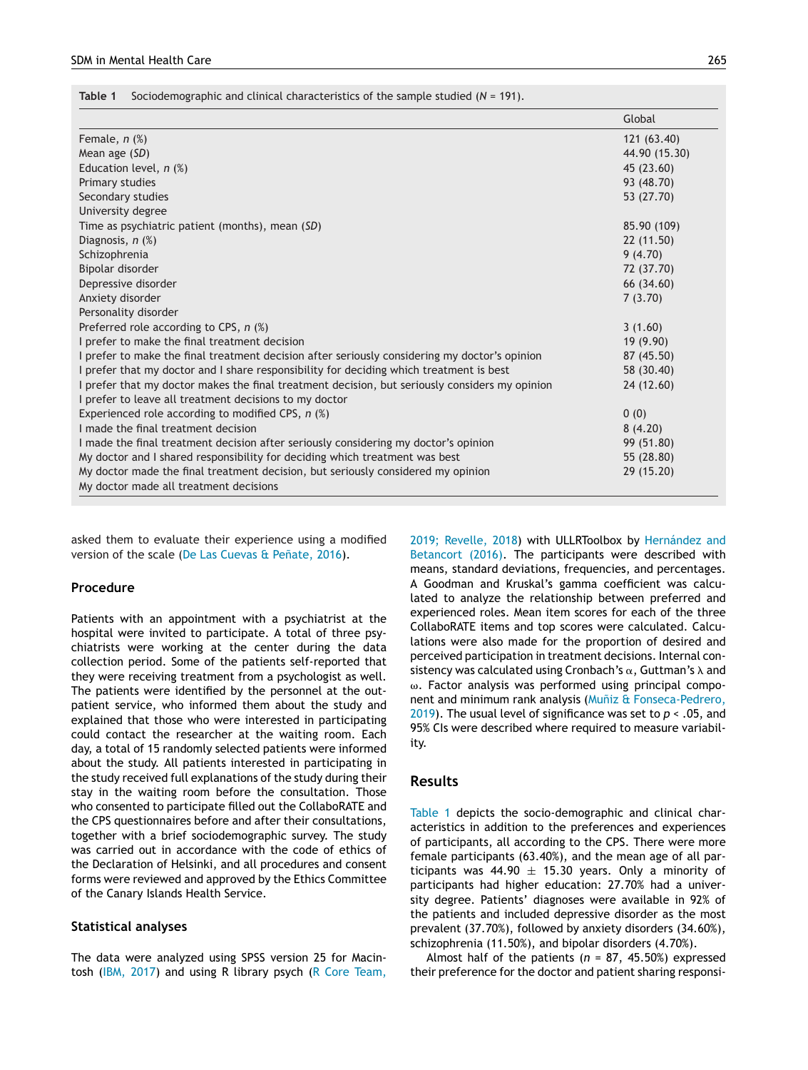**Table 1** Sociodemographic and clinical characteristics of the sample studied (*N* = 191).

|                                                                                                | Global        |
|------------------------------------------------------------------------------------------------|---------------|
| Female, $n$ $%$ )                                                                              | 121 (63.40)   |
| Mean age (SD)                                                                                  | 44.90 (15.30) |
| Education level, $n$ (%)                                                                       | 45 (23.60)    |
| Primary studies                                                                                | 93 (48.70)    |
| Secondary studies                                                                              | 53 (27.70)    |
| University degree                                                                              |               |
| Time as psychiatric patient (months), mean (SD)                                                | 85.90 (109)   |
| Diagnosis, $n$ $(\%)$                                                                          | 22 (11.50)    |
| Schizophrenia                                                                                  | 9(4.70)       |
| Bipolar disorder                                                                               | 72 (37.70)    |
| Depressive disorder                                                                            | 66 (34.60)    |
| Anxiety disorder                                                                               | 7(3.70)       |
| Personality disorder                                                                           |               |
| Preferred role according to CPS, $n$ (%)                                                       | 3(1.60)       |
| I prefer to make the final treatment decision                                                  | 19(9.90)      |
| I prefer to make the final treatment decision after seriously considering my doctor's opinion  | 87 (45.50)    |
| I prefer that my doctor and I share responsibility for deciding which treatment is best        | 58 (30.40)    |
| I prefer that my doctor makes the final treatment decision, but seriously considers my opinion | 24 (12.60)    |
| I prefer to leave all treatment decisions to my doctor                                         |               |
| Experienced role according to modified CPS, $n$ (%)                                            | 0(0)          |
| I made the final treatment decision                                                            | 8(4.20)       |
| I made the final treatment decision after seriously considering my doctor's opinion            | 99 (51.80)    |
| My doctor and I shared responsibility for deciding which treatment was best                    | 55 (28.80)    |
| My doctor made the final treatment decision, but seriously considered my opinion               | 29 (15.20)    |
| My doctor made all treatment decisions                                                         |               |

asked them to evaluate their experience using a modified version of the scale ([De](#page-7-0) [Las](#page-7-0) [Cuevas](#page-7-0) [&](#page-7-0) Peñate, [2016\).](#page-7-0)

#### **Procedure**

Patients with an appointment with a psychiatrist at the hospital were invited to participate. A total of three psychiatrists were working at the center during the data collection period. Some of the patients self-reported that they were receiving treatment from a psychologist as well. The patients were identified by the personnel at the outpatient service, who informed them about the study and explained that those who were interested in participating could contact the researcher at the waiting room. Each day, a total of 15 randomly selected patients were informed about the study. All patients interested in participating in the study received full explanations of the study during their stay in the waiting room before the consultation. Those who consented to participate filled out the CollaboRATE and the CPS questionnaires before and after their consultations, together with a brief sociodemographic survey. The study was carried out in accordance with the code of ethics of the Declaration of Helsinki, and all procedures and consent forms were reviewed and approved by the Ethics Committee of the Canary Islands Health Service.

# **Statistical analyses**

The data were analyzed using SPSS version 25 for Macintosh ([IBM,](#page-8-0) [2017\)](#page-8-0) and using R library psych ([R](#page-8-0) [Core](#page-8-0) [Team,](#page-8-0) [2019;](#page-8-0) [Revelle,](#page-8-0) [2018\)](#page-8-0) with ULLRToolbox by [Hernández](#page-7-0) [and](#page-7-0) [Betancort](#page-7-0) [\(2016\).](#page-7-0) The participants were described with means, standard deviations, frequencies, and percentages. A Goodman and Kruskal's gamma coefficient was calculated to analyze the relationship between preferred and experienced roles. Mean item scores for each of the three CollaboRATE items and top scores were calculated. Calculations were also made for the proportion of desired and perceived participation in treatment decisions. Internal consistency was calculated using Cronbach's  $\alpha$ , Guttman's  $\lambda$  and  $\omega$ . Factor analysis was performed using principal compo-nent and minimum rank analysis (Muñiz [&](#page-8-0) [Fonseca-Pedrero,](#page-8-0) [2019\).](#page-8-0) The usual level of significance was set to *p* < .05, and 95% CIs were described where required to measure variability.

#### **Results**

Table 1 depicts the socio-demographic and clinical characteristics in addition to the preferences and experiences of participants, all according to the CPS. There were more female participants (63.40%), and the mean age of all participants was 44.90  $\pm$  15.30 years. Only a minority of participants had higher education: 27.70% had a university degree. Patients' diagnoses were available in 92% of the patients and included depressive disorder as the most prevalent (37.70%), followed by anxiety disorders (34.60%), schizophrenia (11.50%), and bipolar disorders (4.70%).

Almost half of the patients (*n* = 87, 45.50%) expressed their preference for the doctor and patient sharing responsi-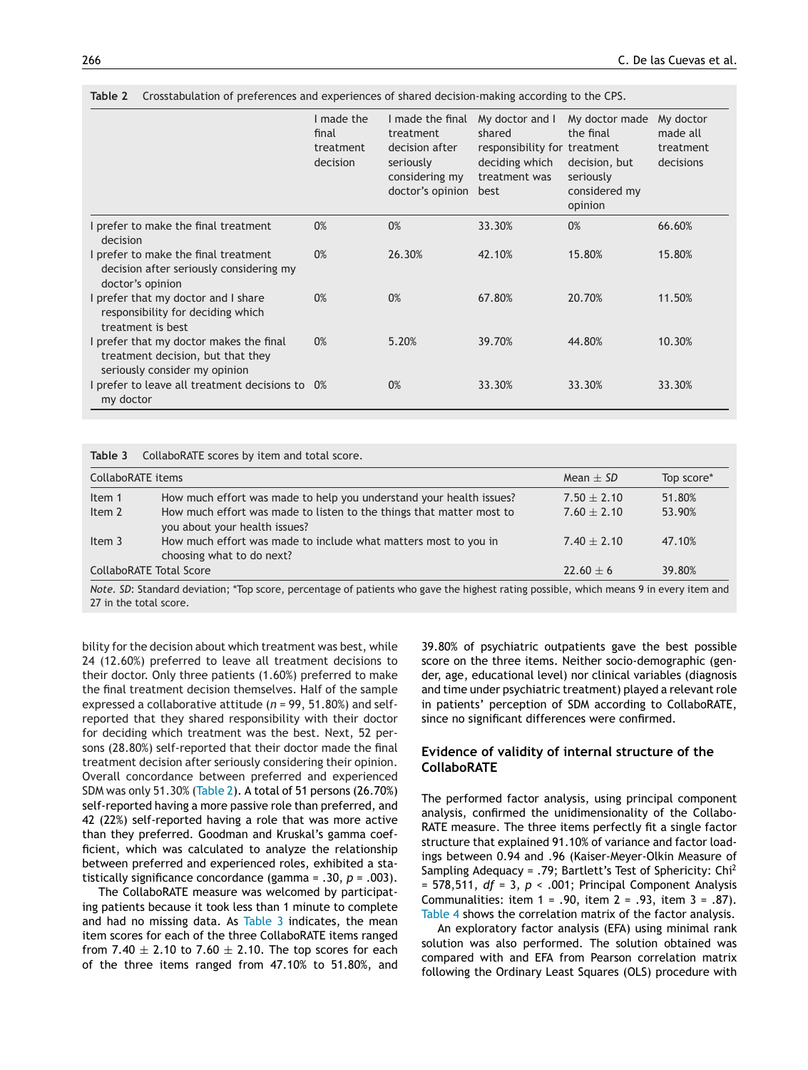|                                                                                                               | I made the<br>final<br>treatment<br>decision | I made the final<br>treatment<br>decision after<br>seriously<br>considering my<br>doctor's opinion | My doctor and I<br>shared<br>responsibility for treatment<br>deciding which<br>treatment was<br>best | My doctor made<br>the final<br>decision, but<br>seriously<br>considered my<br>opinion | My doctor<br>made all<br>treatment<br>decisions |
|---------------------------------------------------------------------------------------------------------------|----------------------------------------------|----------------------------------------------------------------------------------------------------|------------------------------------------------------------------------------------------------------|---------------------------------------------------------------------------------------|-------------------------------------------------|
| I prefer to make the final treatment<br>decision                                                              | 0%                                           | 0%                                                                                                 | 33.30%                                                                                               | 0%                                                                                    | 66.60%                                          |
| I prefer to make the final treatment<br>decision after seriously considering my<br>doctor's opinion           | 0%                                           | 26.30%                                                                                             | 42.10%                                                                                               | 15.80%                                                                                | 15.80%                                          |
| prefer that my doctor and I share<br>responsibility for deciding which<br>treatment is best                   | 0%                                           | 0%                                                                                                 | 67.80%                                                                                               | 20.70%                                                                                | 11.50%                                          |
| I prefer that my doctor makes the final<br>treatment decision, but that they<br>seriously consider my opinion | 0%                                           | 5.20%                                                                                              | 39.70%                                                                                               | 44.80%                                                                                | 10.30%                                          |
| prefer to leave all treatment decisions to 0%<br>my doctor                                                    |                                              | 0%                                                                                                 | 33.30%                                                                                               | 33.30%                                                                                | 33.30%                                          |

**Table 2** Crosstabulation of preferences and experiences of shared decision-making according to the CPS.

**Table 3** CollaboRATE scores by item and total score.

| CollaboRATE items       |                                                                                                       | Mean $\pm$ SD   | Top score* |
|-------------------------|-------------------------------------------------------------------------------------------------------|-----------------|------------|
| Item 1                  | How much effort was made to help you understand your health issues?                                   | $7.50 \pm 2.10$ | 51.80%     |
| Item 2                  | How much effort was made to listen to the things that matter most to<br>you about your health issues? | $7.60 \pm 2.10$ | 53.90%     |
| Item 3                  | How much effort was made to include what matters most to you in<br>choosing what to do next?          | $7.40 \pm 2.10$ | 47.10%     |
| CollaboRATE Total Score |                                                                                                       | $22.60 + 6$     | 39.80%     |

*Note. SD*: Standard deviation; \*Top score, percentage of patients who gave the highest rating possible, which means 9 in every item and 27 in the total score.

bility for the decision about which treatment was best, while 24 (12.60%) preferred to leave all treatment decisions to their doctor. Only three patients (1.60%) preferred to make the final treatment decision themselves. Half of the sample expressed a collaborative attitude (*n* = 99, 51.80%) and selfreported that they shared responsibility with their doctor for deciding which treatment was the best. Next, 52 persons (28.80%) self-reported that their doctor made the final treatment decision after seriously considering their opinion. Overall concordance between preferred and experienced SDM was only 51.30% (Table 2). A total of 51 persons (26.70%) self-reported having a more passive role than preferred, and 42 (22%) self-reported having a role that was more active than they preferred. Goodman and Kruskal's gamma coefficient, which was calculated to analyze the relationship between preferred and experienced roles, exhibited a statistically significance concordance (gamma = .30, *p* = .003).

The CollaboRATE measure was welcomed by participating patients because it took less than 1 minute to complete and had no missing data. As Table 3 indicates, the mean item scores for each of the three CollaboRATE items ranged from 7.40  $\pm$  2.10 to 7.60  $\pm$  2.10. The top scores for each of the three items ranged from 47.10% to 51.80%, and 39.80% of psychiatric outpatients gave the best possible score on the three items. Neither socio-demographic (gender, age, educational level) nor clinical variables (diagnosis and time under psychiatric treatment) played a relevant role in patients' perception of SDM according to CollaboRATE, since no significant differences were confirmed.

# **Evidence of validity of internal structure of the CollaboRATE**

The performed factor analysis, using principal component analysis, confirmed the unidimensionality of the Collabo-RATE measure. The three items perfectly fit a single factor structure that explained 91.10% of variance and factor loadings between 0.94 and .96 (Kaiser-Meyer-Olkin Measure of Sampling Adequacy = .79; Bartlett's Test of Sphericity: Chi<sup>2</sup> = 578,511, *df* = 3, *p* < .001; Principal Component Analysis Communalities: item 1 = .90, item 2 = .93, item 3 = .87). [Table](#page-5-0) 4 shows the correlation matrix of the factor analysis.

An exploratory factor analysis (EFA) using minimal rank solution was also performed. The solution obtained was compared with and EFA from Pearson correlation matrix following the Ordinary Least Squares (OLS) procedure with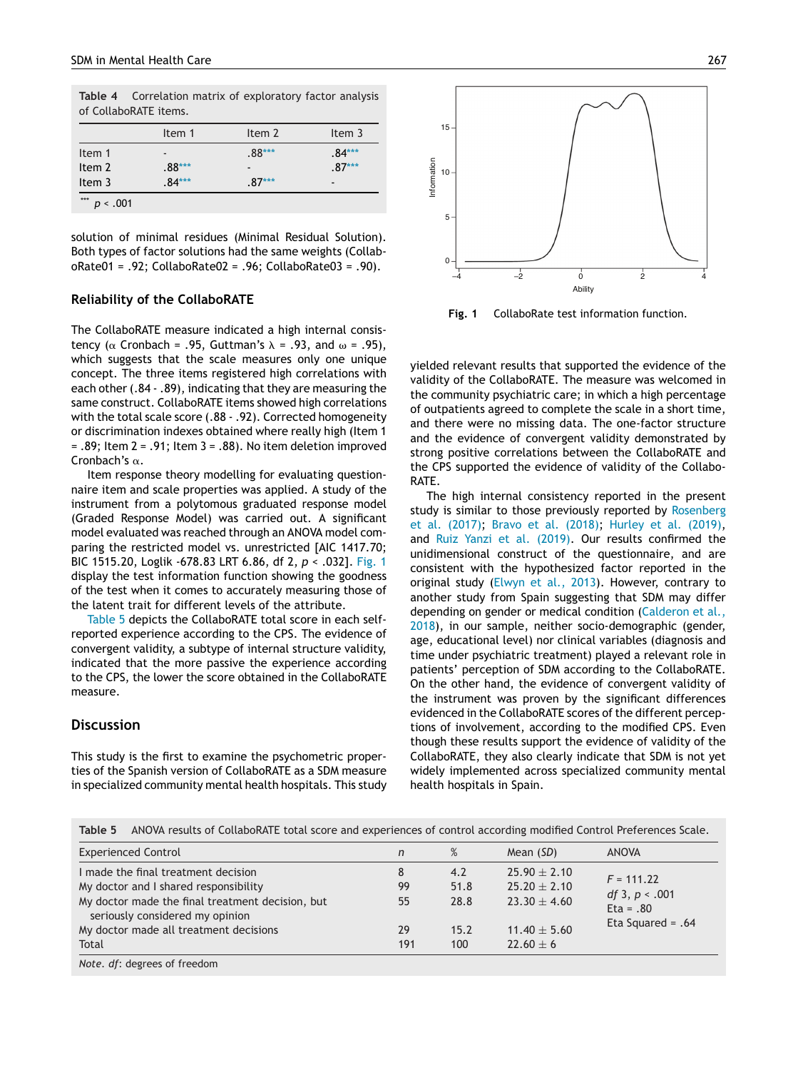<span id="page-5-0"></span>**Table 4** Correlation matrix of exploratory factor analysis of CollaboRATE items.

|        | Item 1                       | Item 2                   | Item 3                   |
|--------|------------------------------|--------------------------|--------------------------|
| Item 1 | $\qquad \qquad \blacksquare$ | $.88***$                 | $.84***$                 |
| Item 2 | $.88***$                     | $\overline{\phantom{0}}$ | $.87***$                 |
| Item 3 | $.84***$                     | $87***$                  | $\overline{\phantom{0}}$ |

solution of minimal residues (Minimal Residual Solution). Both types of factor solutions had the same weights (CollaboRate01 = .92; CollaboRate02 = .96; CollaboRate03 = .90).

#### **Reliability of the CollaboRATE**

The CollaboRATE measure indicated a high internal consistency ( $\alpha$  Cronbach = .95, Guttman's  $\lambda$  = .93, and  $\omega$  = .95), which suggests that the scale measures only one unique concept. The three items registered high correlations with each other (.84 - .89), indicating that they are measuring the same construct. CollaboRATE items showed high correlations with the total scale score (.88 - .92). Corrected homogeneity or discrimination indexes obtained where really high (Item 1 = .89; Item 2 = .91; Item 3 = .88). No item deletion improved Cronbach's  $\alpha.$ 

Item response theory modelling for evaluating questionnaire item and scale properties was applied. A study of the instrument from a polytomous graduated response model (Graded Response Model) was carried out. A significant model evaluated was reached through an ANOVA model comparing the restricted model vs. unrestricted [AIC 1417.70; BIC 1515.20, Loglik -678.83 LRT 6.86, df 2, *p* < .032]. Fig. 1 display the test information function showing the goodness of the test when it comes to accurately measuring those of the latent trait for different levels of the attribute.

Table 5 depicts the CollaboRATE total score in each selfreported experience according to the CPS. The evidence of convergent validity, a subtype of internal structure validity, indicated that the more passive the experience according to the CPS, the lower the score obtained in the CollaboRATE measure.

# **Discussion**

This study is the first to examine the psychometric properties of the Spanish version of CollaboRATE as a SDM measure in specialized community mental health hospitals. This study



**Fig. 1** CollaboRate test information function.

yielded relevant results that supported the evidence of the validity of the CollaboRATE. The measure was welcomed in the community psychiatric care; in which a high percentage of outpatients agreed to complete the scale in a short time, and there were no missing data. The one-factor structure and the evidence of convergent validity demonstrated by strong positive correlations between the CollaboRATE and the CPS supported the evidence of validity of the Collabo-RATE.

The high internal consistency reported in the present study is similar to those previously reported by [Rosenberg](#page-8-0) et [al.](#page-8-0) [\(2017\);](#page-8-0) [Bravo](#page-7-0) et [al.](#page-7-0) [\(2018\);](#page-7-0) [Hurley](#page-7-0) et [al.](#page-7-0) [\(2019\),](#page-7-0) and [Ruiz](#page-8-0) [Yanzi](#page-8-0) et [al.](#page-8-0) [\(2019\).](#page-8-0) Our results confirmed the unidimensional construct of the questionnaire, and are consistent with the hypothesized factor reported in the original study ([Elwyn](#page-7-0) et [al.,](#page-7-0) [2013\).](#page-7-0) However, contrary to another study from Spain suggesting that SDM may differ depending on gender or medical condition [\(Calderon](#page-7-0) et [al.,](#page-7-0) [2018\),](#page-7-0) in our sample, neither socio-demographic (gender, age, educational level) nor clinical variables (diagnosis and time under psychiatric treatment) played a relevant role in patients' perception of SDM according to the CollaboRATE. On the other hand, the evidence of convergent validity of the instrument was proven by the significant differences evidenced in the CollaboRATE scores of the different perceptions of involvement, according to the modified CPS. Even though these results support the evidence of validity of the CollaboRATE, they also clearly indicate that SDM is not yet widely implemented across specialized community mental health hospitals in Spain.

| <b>Experienced Control</b>                                                          | n   | %    | Mean (SD)        | ANOVA                           |  |
|-------------------------------------------------------------------------------------|-----|------|------------------|---------------------------------|--|
| I made the final treatment decision                                                 | 8   | 4.2  | $25.90 \pm 2.10$ |                                 |  |
| My doctor and I shared responsibility                                               | 99  | 51.8 | $25.20 \pm 2.10$ | $F = 111.22$                    |  |
| My doctor made the final treatment decision, but<br>seriously considered my opinion | 55  | 28.8 | $23.30 \pm 4.60$ | df 3, $p < .001$<br>$Eta = .80$ |  |
| My doctor made all treatment decisions                                              | 29  | 15.2 | $11.40 \pm 5.60$ | Eta Squared = $.64$             |  |
| Total                                                                               | 191 | 100  | $22.60 \pm 6$    |                                 |  |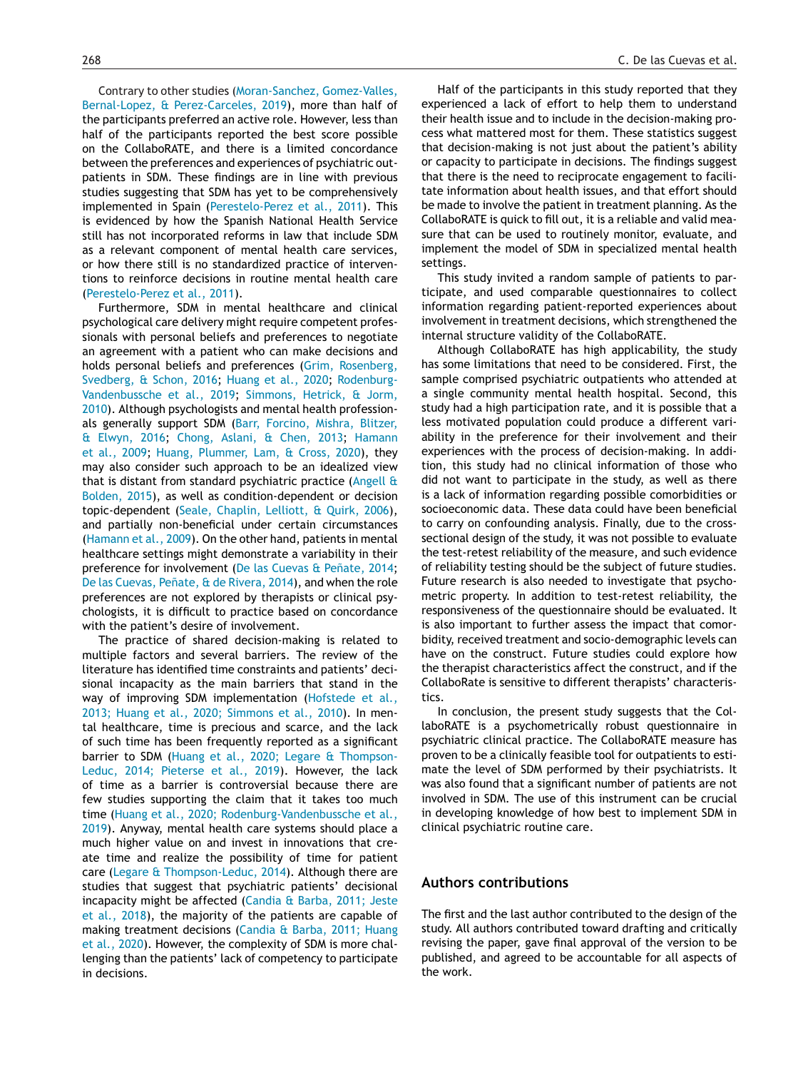Contrary to other studies ([Moran-Sanchez,](#page-8-0) [Gomez-Valles,](#page-8-0) [Bernal-Lopez,](#page-8-0) [&](#page-8-0) [Perez-Carceles,](#page-8-0) [2019\),](#page-8-0) more than half of the participants preferred an active role. However, less than half of the participants reported the best score possible on the CollaboRATE, and there is a limited concordance between the preferences and experiences of psychiatric outpatients in SDM. These findings are in line with previous studies suggesting that SDM has yet to be comprehensively implemented in Spain ([Perestelo-Perez](#page-8-0) et [al.,](#page-8-0) [2011\).](#page-8-0) This is evidenced by how the Spanish National Health Service still has not incorporated reforms in law that include SDM as a relevant component of mental health care services, or how there still is no standardized practice of interventions to reinforce decisions in routine mental health care [\(Perestelo-Perez](#page-8-0) et [al.,](#page-8-0) [2011\).](#page-8-0)

Furthermore, SDM in mental healthcare and clinical psychological care delivery might require competent professionals with personal beliefs and preferences to negotiate an agreement with a patient who can make decisions and holds personal beliefs and preferences ([Grim,](#page-7-0) [Rosenberg,](#page-7-0) [Svedberg,](#page-7-0) [&](#page-7-0) [Schon,](#page-7-0) [2016;](#page-7-0) [Huang](#page-7-0) et [al.,](#page-7-0) [2020;](#page-7-0) [Rodenburg-](#page-8-0)Vandenbussche et [al.,](#page-8-0) [2019;](#page-8-0) [Simmons,](#page-8-0) [Hetrick,](#page-8-0) [&](#page-8-0) [Jorm,](#page-8-0) [2010\).](#page-8-0) Although psychologists and mental health professionals generally support SDM [\(Barr,](#page-7-0) [Forcino,](#page-7-0) [Mishra,](#page-7-0) [Blitzer,](#page-7-0) [&](#page-7-0) [Elwyn,](#page-7-0) [2016;](#page-7-0) [Chong,](#page-7-0) [Aslani,](#page-7-0) [&](#page-7-0) [Chen,](#page-7-0) [2013;](#page-7-0) [Hamann](#page-7-0) et [al.,](#page-7-0) [2009;](#page-7-0) [Huang,](#page-7-0) [Plummer,](#page-7-0) [Lam,](#page-7-0) [&](#page-7-0) [Cross,](#page-7-0) [2020\),](#page-7-0) they may also consider such approach to be an idealized view that is distant from standard psychiatric practice ([Angell](#page-7-0) [&](#page-7-0) [Bolden,](#page-7-0) [2015\),](#page-7-0) as well as condition-dependent or decision topic-dependent ([Seale,](#page-8-0) [Chaplin,](#page-8-0) [Lelliott,](#page-8-0) [&](#page-8-0) [Quirk,](#page-8-0) [2006\),](#page-8-0) and partially non-beneficial under certain circumstances [\(Hamann](#page-7-0) et [al.,](#page-7-0) [2009\).](#page-7-0) On the other hand, patients in mental healthcare settings might demonstrate a variability in their preference for involvement ([De](#page-7-0) [las](#page-7-0) [Cuevas](#page-7-0) [&](#page-7-0) Peñate, [2014;](#page-7-0) [De](#page-7-0) [las](#page-7-0) [Cuevas,](#page-7-0) Peñate, [&](#page-7-0) [de](#page-7-0) [Rivera,](#page-7-0) [2014\),](#page-7-0) and when the role preferences are not explored by therapists or clinical psychologists, it is difficult to practice based on concordance with the patient's desire of involvement.

The practice of shared decision-making is related to multiple factors and several barriers. The review of the literature has identified time constraints and patients' decisional incapacity as the main barriers that stand in the way of improving SDM implementation ([Hofstede](#page-7-0) et [al.,](#page-7-0) [2013;](#page-7-0) [Huang](#page-7-0) et [al.,](#page-7-0) [2020;](#page-7-0) [Simmons](#page-7-0) et [al.,](#page-7-0) [2010\).](#page-7-0) In mental healthcare, time is precious and scarce, and the lack of such time has been frequently reported as a significant barrier to SDM ([Huang](#page-7-0) et [al.,](#page-7-0) [2020;](#page-7-0) [Legare](#page-7-0) [&](#page-7-0) [Thompson-](#page-7-0)Leduc, [2014;](#page-7-0) [Pieterse](#page-7-0) et [al.,](#page-7-0) [2019\).](#page-7-0) However, the lack of time as a barrier is controversial because there are few studies supporting the claim that it takes too much time [\(Huang](#page-7-0) et [al.,](#page-7-0) [2020;](#page-7-0) [Rodenburg-Vandenbussche](#page-7-0) et [al.,](#page-7-0) [2019\).](#page-7-0) Anyway, mental health care systems should place a much higher value on and invest in innovations that create time and realize the possibility of time for patient care [\(Legare](#page-8-0) [&](#page-8-0) [Thompson-Leduc,](#page-8-0) [2014\).](#page-8-0) Although there are studies that suggest that psychiatric patients' decisional incapacity might be affected ([Candia](#page-7-0) [&](#page-7-0) [Barba,](#page-7-0) [2011;](#page-7-0) [Jeste](#page-7-0) et [al.,](#page-7-0) [2018\),](#page-7-0) the majority of the patients are capable of making treatment decisions [\(Candia](#page-7-0) [&](#page-7-0) [Barba,](#page-7-0) [2011;](#page-7-0) [Huang](#page-7-0) et [al.,](#page-7-0) [2020\).](#page-7-0) However, the complexity of SDM is more challenging than the patients' lack of competency to participate in decisions.

Half of the participants in this study reported that they experienced a lack of effort to help them to understand their health issue and to include in the decision-making process what mattered most for them. These statistics suggest that decision-making is not just about the patient's ability or capacity to participate in decisions. The findings suggest that there is the need to reciprocate engagement to facilitate information about health issues, and that effort should be made to involve the patient in treatment planning. As the CollaboRATE is quick to fill out, it is a reliable and valid measure that can be used to routinely monitor, evaluate, and implement the model of SDM in specialized mental health settings.

This study invited a random sample of patients to participate, and used comparable questionnaires to collect information regarding patient-reported experiences about involvement in treatment decisions, which strengthened the internal structure validity of the CollaboRATE.

Although CollaboRATE has high applicability, the study has some limitations that need to be considered. First, the sample comprised psychiatric outpatients who attended at a single community mental health hospital. Second, this study had a high participation rate, and it is possible that a less motivated population could produce a different variability in the preference for their involvement and their experiences with the process of decision-making. In addition, this study had no clinical information of those who did not want to participate in the study, as well as there is a lack of information regarding possible comorbidities or socioeconomic data. These data could have been beneficial to carry on confounding analysis. Finally, due to the crosssectional design of the study, it was not possible to evaluate the test-retest reliability of the measure, and such evidence of reliability testing should be the subject of future studies. Future research is also needed to investigate that psychometric property. In addition to test-retest reliability, the responsiveness of the questionnaire should be evaluated. It is also important to further assess the impact that comorbidity, received treatment and socio-demographic levels can have on the construct. Future studies could explore how the therapist characteristics affect the construct, and if the CollaboRate is sensitive to different therapists' characteristics.

In conclusion, the present study suggests that the CollaboRATE is a psychometrically robust questionnaire in psychiatric clinical practice. The CollaboRATE measure has proven to be a clinically feasible tool for outpatients to estimate the level of SDM performed by their psychiatrists. It was also found that a significant number of patients are not involved in SDM. The use of this instrument can be crucial in developing knowledge of how best to implement SDM in clinical psychiatric routine care.

## **Authors contributions**

The first and the last author contributed to the design of the study. All authors contributed toward drafting and critically revising the paper, gave final approval of the version to be published, and agreed to be accountable for all aspects of the work.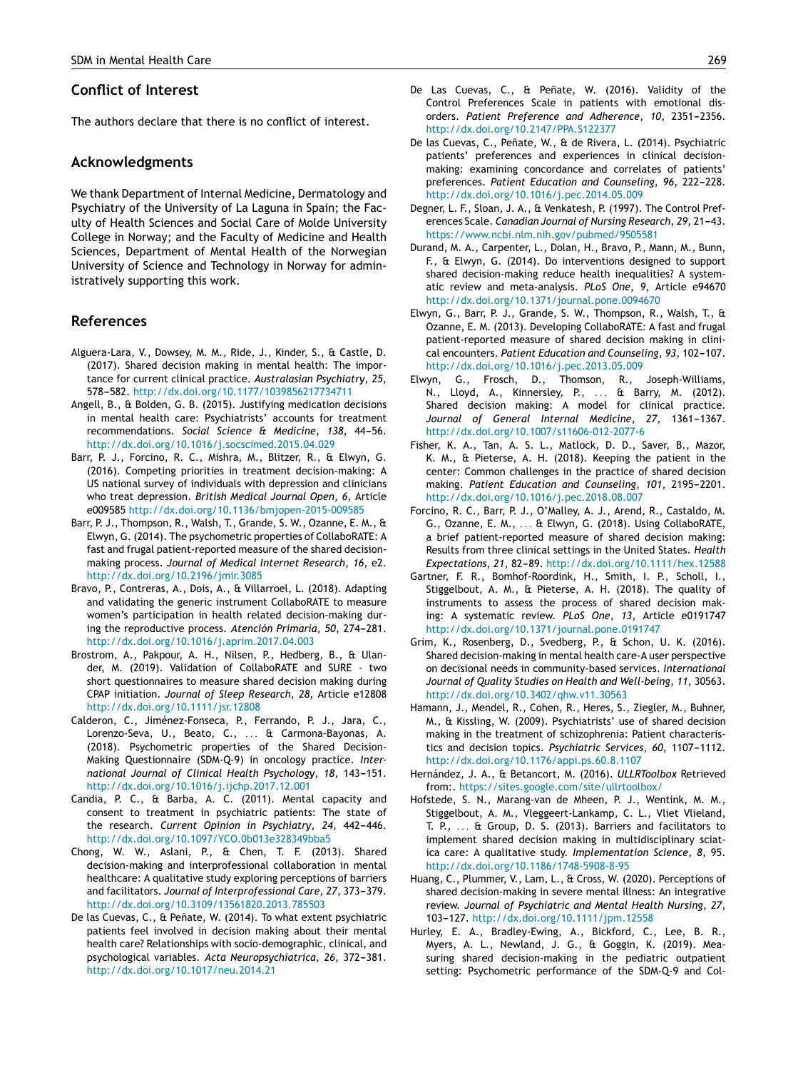## <span id="page-7-0"></span>**Conflict of Interest**

The authors declare that there is no conflict of interest.

## **Acknowledgments**

We thank Department of Internal Medicine, Dermatology and Psychiatry of the University of La Laguna in Spain; the Faculty of Health Sciences and Social Care of Molde University College in Norway; and the Faculty of Medicine and Health Sciences, Department of Mental Health of the Norwegian University of Science and Technology in Norway for administratively supporting this work.

## **References**

- Alguera-Lara, V., Dowsey, M. M., Ride, J., Kinder, S., & Castle, D. (2017). Shared decision making in mental health: The importance for current clinical practice. *Australasian Psychiatry*, *25*, 578-582. [http://dx.doi.org/10.1177/1039856217734711](dx.doi.org/10.1177/1039856217734711)
- Angell, B., & Bolden, G. B. (2015). Justifying medication decisions in mental health care: Psychiatrists' accounts for treatment recommendations. Social Science & Medicine, 138, 44-56. [http://dx.doi.org/10.1016/j.socscimed.2015.04.029](dx.doi.org/10.1016/j.socscimed.2015.04.029)
- Barr, P. J., Forcino, R. C., Mishra, M., Blitzer, R., & Elwyn, G. (2016). Competing priorities in treatment decision-making: A US national survey of individuals with depression and clinicians who treat depression. *British Medical Journal Open*, *6*, Article e009585 [http://dx.doi.org/10.1136/bmjopen-2015-009585](dx.doi.org/10.1136/bmjopen-2015-009585)
- Barr, P. J., Thompson, R., Walsh, T., Grande, S. W., Ozanne, E. M., & Elwyn, G. (2014). The psychometric properties of CollaboRATE: A fast and frugal patient-reported measure of the shared decisionmaking process. *Journal of Medical Internet Research*, *16*, e2. [http://dx.doi.org/10.2196/jmir.3085](dx.doi.org/10.2196/jmir.3085)
- Bravo, P., Contreras, A., Dois, A., & Villarroel, L. (2018). Adapting and validating the generic instrument CollaboRATE to measure women's participation in health related decision-making during the reproductive process. Atención Primaria, 50, 274-281. [http://dx.doi.org/10.1016/j.aprim.2017.04.003](dx.doi.org/10.1016/j.aprim.2017.04.003)
- Brostrom, A., Pakpour, A. H., Nilsen, P., Hedberg, B., & Ulander, M. (2019). Validation of CollaboRATE and SURE - two short questionnaires to measure shared decision making during CPAP initiation. *Journal of Sleep Research*, *28*, Article e12808 [http://dx.doi.org/10.1111/jsr.12808](dx.doi.org/10.1111/jsr.12808)
- Calderon, C., Jiménez-Fonseca, P., Ferrando, P. J., Jara, C., Lorenzo-Seva, U., Beato, C., ... & Carmona-Bayonas, A. (2018). Psychometric properties of the Shared Decision-Making Questionnaire (SDM-Q-9) in oncology practice. *International Journal of Clinical Health Psychology, 18, 143-151.* [http://dx.doi.org/10.1016/j.ijchp.2017.12.001](dx.doi.org/10.1016/j.ijchp.2017.12.001)
- Candia, P. C., & Barba, A. C. (2011). Mental capacity and consent to treatment in psychiatric patients: The state of the research. *Current Opinion in Psychiatry*, 24, 442-446. [http://dx.doi.org/10.1097/YCO.0b013e328349bba5](dx.doi.org/10.1097/YCO.0b013e328349bba5)
- Chong, W. W., Aslani, P., & Chen, T. F. (2013). Shared decision-making and interprofessional collaboration in mental healthcare: A qualitative study exploring perceptions of barriers and facilitators. *Journal of Interprofessional Care*, 27, 373-379. [http://dx.doi.org/10.3109/13561820.2013.785503](dx.doi.org/10.3109/13561820.2013.785503)
- De las Cuevas, C., & Peñate, W. (2014). To what extent psychiatric patients feel involved in decision making about their mental health care? Relationships with socio-demographic, clinical, and psychological variables. Acta Neuropsychiatrica, 26, 372-381. [http://dx.doi.org/10.1017/neu.2014.21](dx.doi.org/10.1017/neu.2014.21)
- De Las Cuevas, C., & Peñate, W. (2016). Validity of the Control Preferences Scale in patients with emotional disorders. Patient Preference and Adherence, 10, 2351-2356. [http://dx.doi.org/10.2147/PPA.S122377](dx.doi.org/10.2147/PPA.S122377)
- De las Cuevas, C., Peñate, W., & de Rivera, L. (2014). Psychiatric patients' preferences and experiences in clinical decisionmaking: examining concordance and correlates of patients' preferences. Patient Education and Counseling, 96, 222-228. [http://dx.doi.org/10.1016/j.pec.2014.05.009](dx.doi.org/10.1016/j.pec.2014.05.009)
- Degner, L. F., Sloan, J. A., & Venkatesh, P. (1997). The Control Preferences Scale. *Canadian Journal of Nursing Research*, *29*, 21---43. <https://www.ncbi.nlm.nih.gov/pubmed/9505581>
- Durand, M. A., Carpenter, L., Dolan, H., Bravo, P., Mann, M., Bunn, F., & Elwyn, G. (2014). Do interventions designed to support shared decision-making reduce health inequalities? A systematic review and meta-analysis. *PLoS One*, *9*, Article e94670 [http://dx.doi.org/10.1371/journal.pone.0094670](dx.doi.org/10.1371/journal.pone.0094670)
- Elwyn, G., Barr, P. J., Grande, S. W., Thompson, R., Walsh, T., & Ozanne, E. M. (2013). Developing CollaboRATE: A fast and frugal patient-reported measure of shared decision making in clinical encounters. Patient Education and Counseling, 93, 102-107. [http://dx.doi.org/10.1016/j.pec.2013.05.009](dx.doi.org/10.1016/j.pec.2013.05.009)
- Elwyn, G., Frosch, D., Thomson, R., Joseph-Williams, N., Lloyd, A., Kinnersley, P., ... & Barry, M. (2012). Shared decision making: A model for clinical practice. Journal of General Internal Medicine, 27, 1361-1367. [http://dx.doi.org/10.1007/s11606-012-2077-6](dx.doi.org/10.1007/s11606-012-2077-6)
- Fisher, K. A., Tan, A. S. L., Matlock, D. D., Saver, B., Mazor, K. M., & Pieterse, A. H. (2018). Keeping the patient in the center: Common challenges in the practice of shared decision making. Patient Education and Counseling, 101, 2195-2201. [http://dx.doi.org/10.1016/j.pec.2018.08.007](dx.doi.org/10.1016/j.pec.2018.08.007)
- Forcino, R. C., Barr, P. J., O'Malley, A. J., Arend, R., Castaldo, M. G., Ozanne, E. M., . . . & Elwyn, G. (2018). Using CollaboRATE, a brief patient-reported measure of shared decision making: Results from three clinical settings in the United States. *Health Expectations*, *21*, 82---89. [http://dx.doi.org/10.1111/hex.12588](dx.doi.org/10.1111/hex.12588)
- Gartner, F. R., Bomhof-Roordink, H., Smith, I. P., Scholl, I., Stiggelbout, A. M., & Pieterse, A. H. (2018). The quality of instruments to assess the process of shared decision making: A systematic review. *PLoS One*, *13*, Article e0191747 [http://dx.doi.org/10.1371/journal.pone.0191747](dx.doi.org/10.1371/journal.pone.0191747)
- Grim, K., Rosenberg, D., Svedberg, P., & Schon, U. K. (2016). Shared decision-making in mental health care-A user perspective on decisional needs in community-based services. *International Journal of Quality Studies on Health and Well-being*, *11*, 30563. [http://dx.doi.org/10.3402/qhw.v11.30563](dx.doi.org/10.3402/qhw.v11.30563)
- Hamann, J., Mendel, R., Cohen, R., Heres, S., Ziegler, M., Buhner, M., & Kissling, W. (2009). Psychiatrists' use of shared decision making in the treatment of schizophrenia: Patient characteristics and decision topics. *Psychiatric Services*, 60, 1107-1112. [http://dx.doi.org/10.1176/appi.ps.60.8.1107](dx.doi.org/10.1176/appi.ps.60.8.1107)
- Hernández, J. A., & Betancort, M. (2016). *ULLRToolbox* Retrieved from:. <https://sites.google.com/site/ullrtoolbox/>
- Hofstede, S. N., Marang-van de Mheen, P. J., Wentink, M. M., Stiggelbout, A. M., Vleggeert-Lankamp, C. L., Vliet Vlieland, T. P., . . . & Group, D. S. (2013). Barriers and facilitators to implement shared decision making in multidisciplinary sciatica care: A qualitative study. *Implementation Science*, *8*, 95. [http://dx.doi.org/10.1186/1748-5908-8-95](dx.doi.org/10.1186/1748-5908-8-95)
- Huang, C., Plummer, V., Lam, L., & Cross, W. (2020). Perceptions of shared decision-making in severe mental illness: An integrative review. *Journal of Psychiatric and Mental Health Nursing*, *27*, 103-127. [http://dx.doi.org/10.1111/jpm.12558](dx.doi.org/10.1111/jpm.12558)
- Hurley, E. A., Bradley-Ewing, A., Bickford, C., Lee, B. R., Myers, A. L., Newland, J. G., & Goggin, K. (2019). Measuring shared decision-making in the pediatric outpatient setting: Psychometric performance of the SDM-Q-9 and Col-